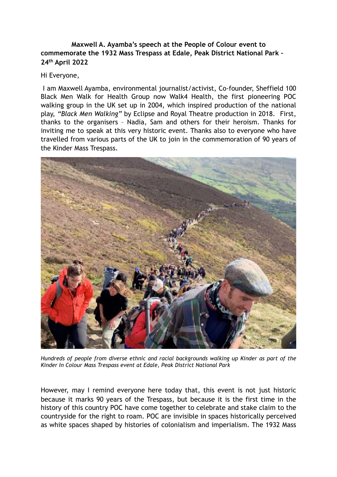**Maxwell A. Ayamba's speech at the People of Colour event to commemorate the 1932 Mass Trespass at Edale, Peak District National Park – 24th April 2022** 

## Hi Everyone,

 I am Maxwell Ayamba, environmental journalist/activist, Co-founder, Sheffield 100 Black Men Walk for Health Group now Walk4 Health, the first pioneering POC walking group in the UK set up in 2004, which inspired production of the national play, *"Black Men Walking"* by Eclipse and Royal Theatre production in 2018. First, thanks to the organisers – Nadia, Sam and others for their heroism. Thanks for inviting me to speak at this very historic event. Thanks also to everyone who have travelled from various parts of the UK to join in the commemoration of 90 years of the Kinder Mass Trespass.



*Hundreds of people from diverse ethnic and racial backgrounds walking up Kinder as part of the Kinder In Colour Mass Trespass event at Edale, Peak District National Park* 

However, may I remind everyone here today that, this event is not just historic because it marks 90 years of the Trespass, but because it is the first time in the history of this country POC have come together to celebrate and stake claim to the countryside for the right to roam. POC are invisible in spaces historically perceived as white spaces shaped by histories of colonialism and imperialism. The 1932 Mass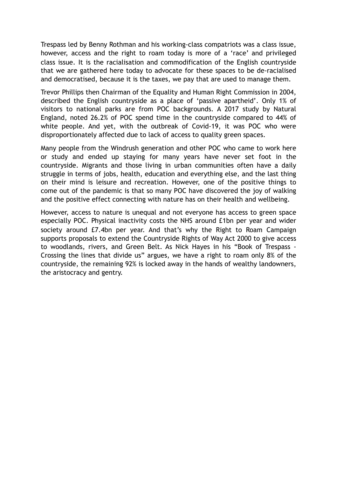Trespass led by Benny Rothman and his working-class compatriots was a class issue, however, access and the right to roam today is more of a 'race' and privileged class issue. It is the racialisation and commodification of the English countryside that we are gathered here today to advocate for these spaces to be de-racialised and democratised, because it is the taxes, we pay that are used to manage them.

Trevor Phillips then Chairman of the Equality and Human Right Commission in 2004, described the English countryside as a place of 'passive apartheid'. Only 1% of visitors to national parks are from POC backgrounds. A 2017 study by Natural England, noted 26.2% of POC spend time in the countryside compared to 44% of white people. And yet, with the outbreak of Covid-19, it was POC who were disproportionately affected due to lack of access to quality green spaces.

Many people from the Windrush generation and other POC who came to work here or study and ended up staying for many years have never set foot in the countryside. Migrants and those living in urban communities often have a daily struggle in terms of jobs, health, education and everything else, and the last thing on their mind is leisure and recreation. However, one of the positive things to come out of the pandemic is that so many POC have discovered the joy of walking and the positive effect connecting with nature has on their health and wellbeing.

However, access to nature is unequal and not everyone has access to green space especially POC. Physical inactivity costs the NHS around £1bn per year and wider society around £7.4bn per year. And that's why the Right to Roam Campaign supports proposals to extend the Countryside Rights of Way Act 2000 to give access to woodlands, rivers, and Green Belt. As Nick Hayes in his "Book of Trespass - Crossing the lines that divide us" argues, we have a right to roam only 8% of the countryside, the remaining 92% is locked away in the hands of wealthy landowners, the aristocracy and gentry.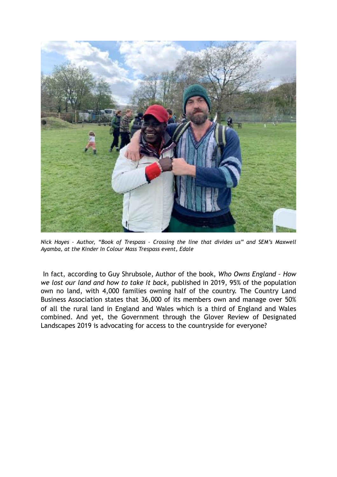

*Nick Hayes – Author, "Book of Trespass – Crossing the line that divides us" and SEM's Maxwell Ayamba, at the Kinder In Colour Mass Trespass event, Edale* 

 In fact, according to Guy Shrubsole, Author of the book, *Who Owns England – How we lost our land and how to take it back,* published in 2019, 95% of the population own no land, with 4,000 families owning half of the country. The Country Land Business Association states that 36,000 of its members own and manage over 50% of all the rural land in England and Wales which is a third of England and Wales combined. And yet, the Government through the Glover Review of Designated Landscapes 2019 is advocating for access to the countryside for everyone?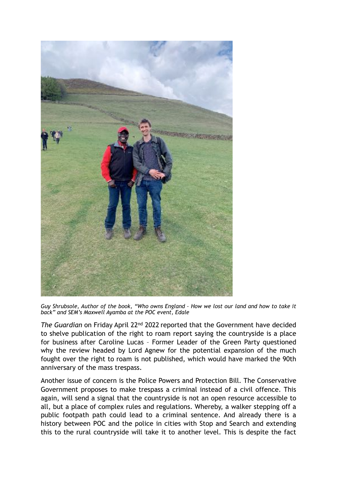

*Guy Shrubsole, Author of the book, "Who owns England – How we lost our land and how to take it back" and SEM's Maxwell Ayamba at the POC event, Edale* 

*The Guardian* on Friday April 22nd 2022 reported that the Government have decided to shelve publication of the right to roam report saying the countryside is a place for business after Caroline Lucas – Former Leader of the Green Party questioned why the review headed by Lord Agnew for the potential expansion of the much fought over the right to roam is not published, which would have marked the 90th anniversary of the mass trespass.

Another issue of concern is the Police Powers and Protection Bill. The Conservative Government proposes to make trespass a criminal instead of a civil offence. This again, will send a signal that the countryside is not an open resource accessible to all, but a place of complex rules and regulations. Whereby, a walker stepping off a public footpath path could lead to a criminal sentence. And already there is a history between POC and the police in cities with Stop and Search and extending this to the rural countryside will take it to another level. This is despite the fact